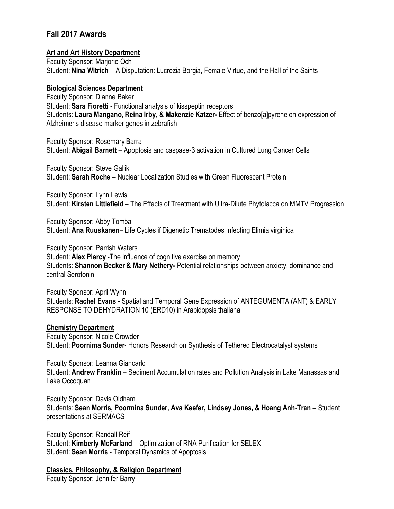# **Fall 2017 Awards**

### **Art and Art History Department**

Faculty Sponsor: Marjorie Och Student: **Nina Witrich** – A Disputation: Lucrezia Borgia, Female Virtue, and the Hall of the Saints

### **Biological Sciences Department**

Faculty Sponsor: Dianne Baker Student: **Sara Fioretti -** Functional analysis of kisspeptin receptors Students: **Laura Mangano, Reina Irby, & Makenzie Katzer-** Effect of benzo[a]pyrene on expression of Alzheimer's disease marker genes in zebrafish

Faculty Sponsor: Rosemary Barra Student: **Abigail Barnett** – Apoptosis and caspase-3 activation in Cultured Lung Cancer Cells

Faculty Sponsor: Steve Gallik Student: **Sarah Roche** – Nuclear Localization Studies with Green Fluorescent Protein

Faculty Sponsor: Lynn Lewis Student: **Kirsten Littlefield** – The Effects of Treatment with Ultra-Dilute Phytolacca on MMTV Progression

Faculty Sponsor: Abby Tomba Student: **Ana Ruuskanen**– Life Cycles if Digenetic Trematodes Infecting Elimia virginica

Faculty Sponsor: Parrish Waters Student: **Alex Piercy -**The influence of cognitive exercise on memory Students: **Shannon Becker & Mary Nethery-** Potential relationships between anxiety, dominance and central Serotonin

Faculty Sponsor: April Wynn Students: **Rachel Evans -** Spatial and Temporal Gene Expression of ANTEGUMENTA (ANT) & EARLY RESPONSE TO DEHYDRATION 10 (ERD10) in Arabidopsis thaliana

#### **Chemistry Department**

Faculty Sponsor: Nicole Crowder Student: **Poornima Sunder-** Honors Research on Synthesis of Tethered Electrocatalyst systems

Faculty Sponsor: Leanna Giancarlo Student: **Andrew Franklin** – Sediment Accumulation rates and Pollution Analysis in Lake Manassas and Lake Occoquan

Faculty Sponsor: Davis Oldham Students: **Sean Morris, Poormina Sunder, Ava Keefer, Lindsey Jones, & Hoang Anh-Tran** – Student presentations at SERMACS

Faculty Sponsor: Randall Reif Student: **Kimberly McFarland** – Optimization of RNA Purification for SELEX Student: **Sean Morris -** Temporal Dynamics of Apoptosis

**Classics, Philosophy, & Religion Department**

Faculty Sponsor: Jennifer Barry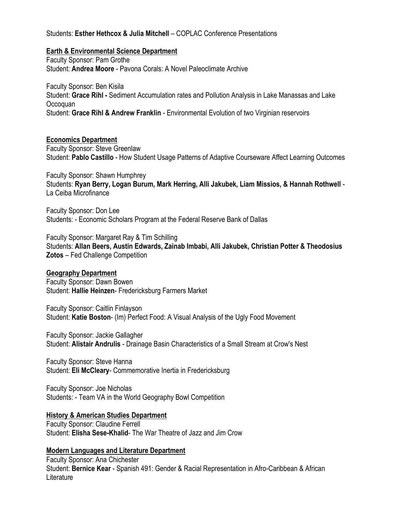# Students: **Esther Hethcox & Julia Mitchell** – COPLAC Conference Presentations

### **Earth & Environmental Science Department**

Faculty Sponsor: Pam Grothe Student: **Andrea Moore** - Pavona Corals: A Novel Paleoclimate Archive

Faculty Sponsor: Ben Kisila Student: **Grace Rihl -** Sediment Accumulation rates and Pollution Analysis in Lake Manassas and Lake Occoquan Student: **Grace Rihl & Andrew Franklin** - Environmental Evolution of two Virginian reservoirs

### **Economics Department**

Faculty Sponsor: Steve Greenlaw Student: **Pablo Castillo** - How Student Usage Patterns of Adaptive Courseware Affect Learning Outcomes

Faculty Sponsor: Shawn Humphrey Students: **Ryan Berry, Logan Burum, Mark Herring, Alli Jakubek, Liam Missios, & Hannah Rothwell** - La Ceiba Microfinance

Faculty Sponsor: Don Lee Students: - Economic Scholars Program at the Federal Reserve Bank of Dallas

Faculty Sponsor: Margaret Ray & Tim Schilling Students: **Allan Beers, Austin Edwards, Zainab Imbabi, Alli Jakubek, Christian Potter & Theodosius Zotos** – Fed Challenge Competition

#### **Geography Department**

Faculty Sponsor: Dawn Bowen Student: **Hallie Heinzen**- Fredericksburg Farmers Market

Faculty Sponsor: Caitlin Finlayson Student: **Katie Boston**- (Im) Perfect Food: A Visual Analysis of the Ugly Food Movement

Faculty Sponsor: Jackie Gallagher Student: **Alistair Andrulis** - Drainage Basin Characteristics of a Small Stream at Crow's Nest

Faculty Sponsor: Steve Hanna Student: **Eli McCleary**- Commemorative Inertia in Fredericksburg

Faculty Sponsor: Joe Nicholas Students: - Team VA in the World Geography Bowl Competition

# **History & American Studies Department**

Faculty Sponsor: Claudine Ferrell Student: **Elisha Sese-Khalid**- The War Theatre of Jazz and Jim Crow

# **Modern Languages and Literature Department**

Faculty Sponsor: Ana Chichester Student: **Bernice Kear** - Spanish 491: Gender & Racial Representation in Afro-Caribbean & African Literature